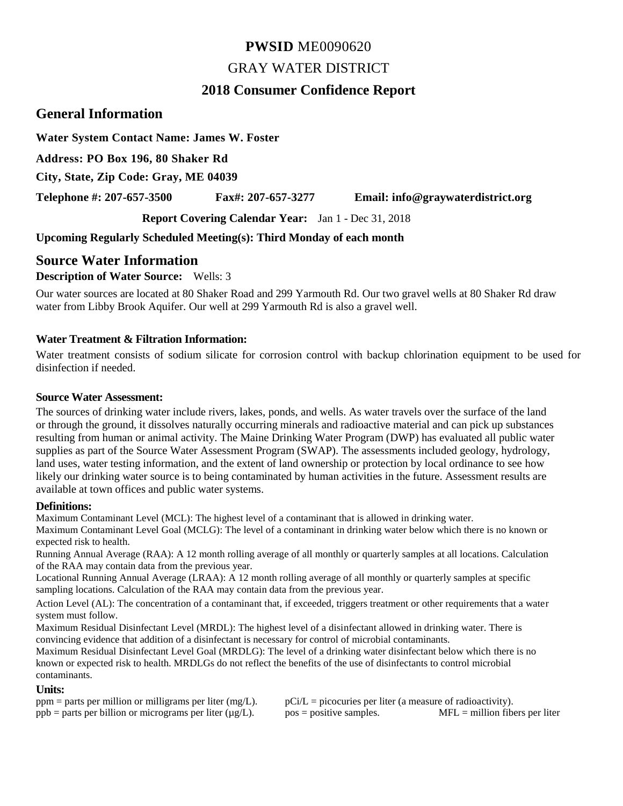# **PWSID** ME0090620 GRAY WATER DISTRICT

# **2018 Consumer Confidence Report**

# **General Information**

**Water System Contact Name: James W. Foster**

**Address: PO Box 196, 80 Shaker Rd**

**City, State, Zip Code: Gray, ME 04039**

**Telephone #: 207-657-3500 Fax#: 207-657-3277 Email: info@graywaterdistrict.org**

**Report Covering Calendar Year:** Jan 1 - Dec 31, 2018

**Upcoming Regularly Scheduled Meeting(s): Third Monday of each month**

# **Source Water Information**

### **Description of Water Source:** Wells: 3

Our water sources are located at 80 Shaker Road and 299 Yarmouth Rd. Our two gravel wells at 80 Shaker Rd draw water from Libby Brook Aquifer. Our well at 299 Yarmouth Rd is also a gravel well.

### **Water Treatment & Filtration Information:**

Water treatment consists of sodium silicate for corrosion control with backup chlorination equipment to be used for disinfection if needed.

#### **Source Water Assessment:**

The sources of drinking water include rivers, lakes, ponds, and wells. As water travels over the surface of the land or through the ground, it dissolves naturally occurring minerals and radioactive material and can pick up substances resulting from human or animal activity. The Maine Drinking Water Program (DWP) has evaluated all public water supplies as part of the Source Water Assessment Program (SWAP). The assessments included geology, hydrology, land uses, water testing information, and the extent of land ownership or protection by local ordinance to see how likely our drinking water source is to being contaminated by human activities in the future. Assessment results are available at town offices and public water systems.

#### **Definitions:**

Maximum Contaminant Level (MCL): The highest level of a contaminant that is allowed in drinking water.

Maximum Contaminant Level Goal (MCLG): The level of a contaminant in drinking water below which there is no known or expected risk to health.

Running Annual Average (RAA): A 12 month rolling average of all monthly or quarterly samples at all locations. Calculation of the RAA may contain data from the previous year.

Locational Running Annual Average (LRAA): A 12 month rolling average of all monthly or quarterly samples at specific sampling locations. Calculation of the RAA may contain data from the previous year.

Action Level (AL): The concentration of a contaminant that, if exceeded, triggers treatment or other requirements that a water system must follow.

Maximum Residual Disinfectant Level (MRDL): The highest level of a disinfectant allowed in drinking water. There is convincing evidence that addition of a disinfectant is necessary for control of microbial contaminants.

Maximum Residual Disinfectant Level Goal (MRDLG): The level of a drinking water disinfectant below which there is no known or expected risk to health. MRDLGs do not reflect the benefits of the use of disinfectants to control microbial contaminants.

#### **Units:**

| $ppm =$ parts per million or milligrams per liter (mg/L).       | $pCi/L = picocuries$ per liter (a measure of radioactivity). |                                  |
|-----------------------------------------------------------------|--------------------------------------------------------------|----------------------------------|
| $ppb$ = parts per billion or micrograms per liter ( $\mu$ g/L). | $pos = positive$ samples.                                    | $MFL =$ million fibers per liter |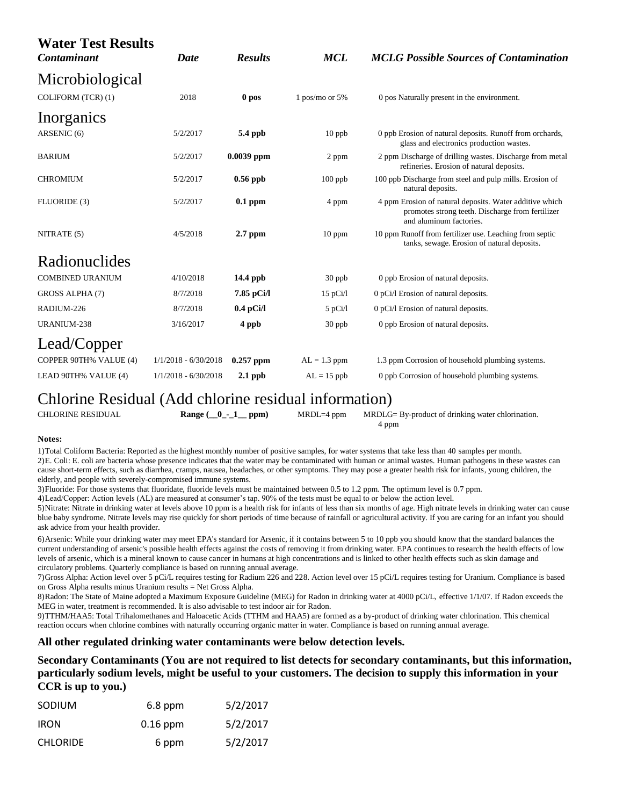| <b>Water Test Results</b><br>Contaminant | Date                   | <b>Results</b> | <b>MCL</b>       | <b>MCLG Possible Sources of Contamination</b>                                                                                          |
|------------------------------------------|------------------------|----------------|------------------|----------------------------------------------------------------------------------------------------------------------------------------|
| Microbiological                          |                        |                |                  |                                                                                                                                        |
| COLIFORM (TCR) (1)                       | 2018                   | 0 pos          | 1 pos/mo or $5%$ | 0 pos Naturally present in the environment.                                                                                            |
| Inorganics                               |                        |                |                  |                                                                                                                                        |
| ARSENIC (6)                              | 5/2/2017               | 5.4 ppb        | $10$ ppb         | 0 ppb Erosion of natural deposits. Runoff from orchards,<br>glass and electronics production wastes.                                   |
| <b>BARIUM</b>                            | 5/2/2017               | 0.0039 ppm     | 2 ppm            | 2 ppm Discharge of drilling wastes. Discharge from metal<br>refineries. Erosion of natural deposits.                                   |
| <b>CHROMIUM</b>                          | 5/2/2017               | $0.56$ ppb     | $100$ ppb        | 100 ppb Discharge from steel and pulp mills. Erosion of<br>natural deposits.                                                           |
| FLUORIDE (3)                             | 5/2/2017               | $0.1$ ppm      | 4 ppm            | 4 ppm Erosion of natural deposits. Water additive which<br>promotes strong teeth. Discharge from fertilizer<br>and aluminum factories. |
| NITRATE (5)                              | 4/5/2018               | $2.7$ ppm      | $10$ ppm         | 10 ppm Runoff from fertilizer use. Leaching from septic<br>tanks, sewage. Erosion of natural deposits.                                 |
| Radionuclides                            |                        |                |                  |                                                                                                                                        |
| <b>COMBINED URANIUM</b>                  | 4/10/2018              | 14.4 ppb       | 30 ppb           | 0 ppb Erosion of natural deposits.                                                                                                     |
| GROSS ALPHA (7)                          | 8/7/2018               | 7.85 pCi/l     | 15 pCi/l         | 0 pCi/l Erosion of natural deposits.                                                                                                   |
| RADIUM-226                               | 8/7/2018               | $0.4$ pCi/l    | $5$ pCi/l        | 0 pCi/l Erosion of natural deposits.                                                                                                   |
| URANIUM-238                              | 3/16/2017              | 4 ppb          | 30 ppb           | 0 ppb Erosion of natural deposits.                                                                                                     |
| Lead/Copper                              |                        |                |                  |                                                                                                                                        |
| COPPER 90TH% VALUE (4)                   | $1/1/2018 - 6/30/2018$ | $0.257$ ppm    | $AL = 1.3$ ppm   | 1.3 ppm Corrosion of household plumbing systems.                                                                                       |
| LEAD 90TH% VALUE (4)                     | $1/1/2018 - 6/30/2018$ | $2.1$ ppb      | $AL = 15$ ppb    | 0 ppb Corrosion of household plumbing systems.                                                                                         |

# Chlorine Residual (Add chlorine residual information)

| <b>CHLORINE RESIDUAL</b> | Range $(\_0$ - $1$ ppm) | $MRDL=4$ ppm | MRDLG= By-product of drinking water chlorination. |
|--------------------------|-------------------------|--------------|---------------------------------------------------|
|                          |                         |              | 4 ppm                                             |

#### **Notes:**

1)Total Coliform Bacteria: Reported as the highest monthly number of positive samples, for water systems that take less than 40 samples per month. 2)E. Coli: E. coli are bacteria whose presence indicates that the water may be contaminated with human or animal wastes. Human pathogens in these wastes can cause short-term effects, such as diarrhea, cramps, nausea, headaches, or other symptoms. They may pose a greater health risk for infants, young children, the elderly, and people with severely-compromised immune systems.

3)Fluoride: For those systems that fluoridate, fluoride levels must be maintained between 0.5 to 1.2 ppm. The optimum level is 0.7 ppm.

4)Lead/Copper: Action levels (AL) are measured at consumer's tap. 90% of the tests must be equal to or below the action level.

5)Nitrate: Nitrate in drinking water at levels above 10 ppm is a health risk for infants of less than six months of age. High nitrate levels in drinking water can cause blue baby syndrome. Nitrate levels may rise quickly for short periods of time because of rainfall or agricultural activity. If you are caring for an infant you should ask advice from your health provider.

6)Arsenic: While your drinking water may meet EPA's standard for Arsenic, if it contains between 5 to 10 ppb you should know that the standard balances the current understanding of arsenic's possible health effects against the costs of removing it from drinking water. EPA continues to research the health effects of low levels of arsenic, which is a mineral known to cause cancer in humans at high concentrations and is linked to other health effects such as skin damage and circulatory problems. Quarterly compliance is based on running annual average.

7)Gross Alpha: Action level over 5 pCi/L requires testing for Radium 226 and 228. Action level over 15 pCi/L requires testing for Uranium. Compliance is based on Gross Alpha results minus Uranium results = Net Gross Alpha.

8)Radon: The State of Maine adopted a Maximum Exposure Guideline (MEG) for Radon in drinking water at 4000 pCi/L, effective 1/1/07. If Radon exceeds the MEG in water, treatment is recommended. It is also advisable to test indoor air for Radon.

9)TTHM/HAA5: Total Trihalomethanes and Haloacetic Acids (TTHM and HAA5) are formed as a by-product of drinking water chlorination. This chemical reaction occurs when chlorine combines with naturally occurring organic matter in water. Compliance is based on running annual average.

#### **All other regulated drinking water contaminants were below detection levels.**

**Secondary Contaminants (You are not required to list detects for secondary contaminants, but this information, particularly sodium levels, might be useful to your customers. The decision to supply this information in your CCR is up to you.)**

| SODIUM          | $6.8$ ppm  | 5/2/2017 |
|-----------------|------------|----------|
| <b>IRON</b>     | $0.16$ ppm | 5/2/2017 |
| <b>CHLORIDE</b> | 6 ppm      | 5/2/2017 |